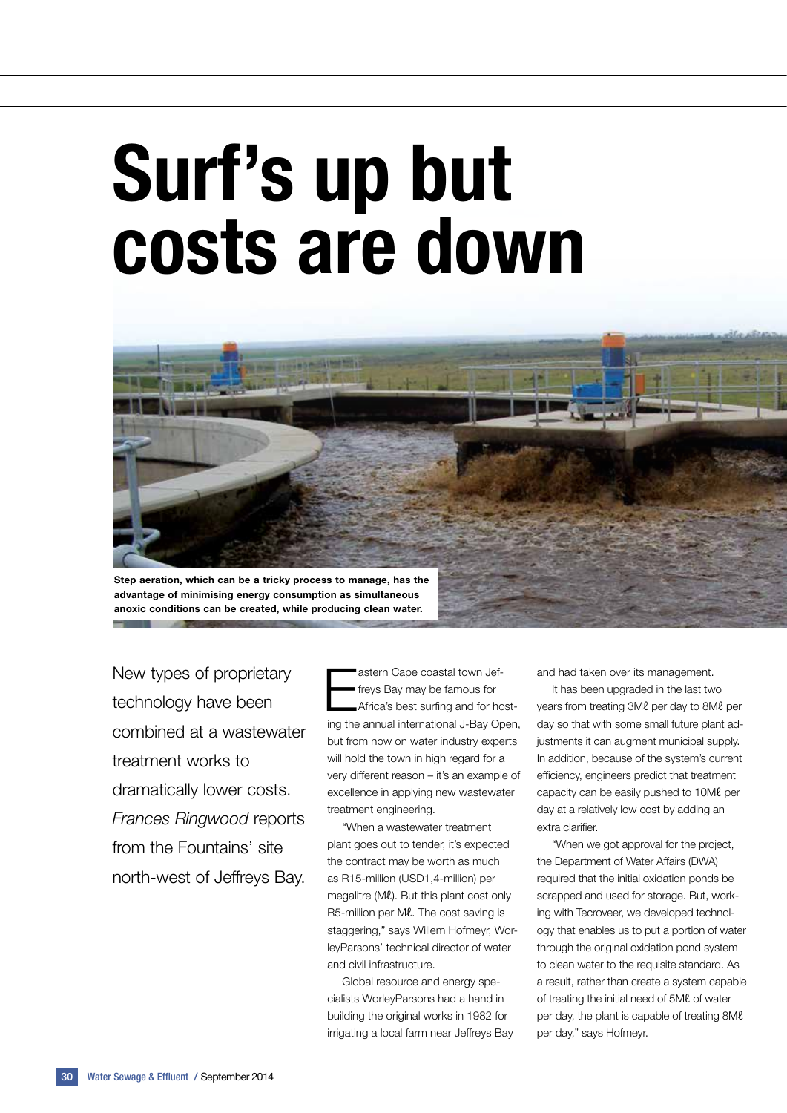# Surf's up but costs are down



advantage of minimising energy consumption as simultaneous anoxic conditions can be created, while producing clean water.

New types of proprietary technology have been combined at a wastewater treatment works to dramatically lower costs. *Frances Ringwood* reports from the Fountains' site north-west of Jeffreys Bay.

Eastern Cape coastal town Jef-<br>
Freys Bay may be famous for<br>
Africa's best surfing and for hostfreys Bay may be famous for ing the annual international J-Bay Open, but from now on water industry experts will hold the town in high regard for a very different reason – it's an example of excellence in applying new wastewater treatment engineering.

"When a wastewater treatment plant goes out to tender, it's expected the contract may be worth as much as R15-million (USD1,4-million) per megalitre (Mℓ). But this plant cost only R5-million per Ml. The cost saving is staggering," says Willem Hofmeyr, WorleyParsons' technical director of water and civil infrastructure.

Global resource and energy specialists WorleyParsons had a hand in building the original works in 1982 for irrigating a local farm near Jeffreys Bay and had taken over its management.

It has been upgraded in the last two years from treating 3Mℓ per day to 8Mℓ per day so that with some small future plant adjustments it can augment municipal supply. In addition, because of the system's current efficiency, engineers predict that treatment capacity can be easily pushed to 10Mℓ per day at a relatively low cost by adding an extra clarifier.

"When we got approval for the project, the Department of Water Affairs (DWA) required that the initial oxidation ponds be scrapped and used for storage. But, working with Tecroveer, we developed technology that enables us to put a portion of water through the original oxidation pond system to clean water to the requisite standard. As a result, rather than create a system capable of treating the initial need of 5Mℓ of water per day, the plant is capable of treating 8Mℓ per day," says Hofmeyr.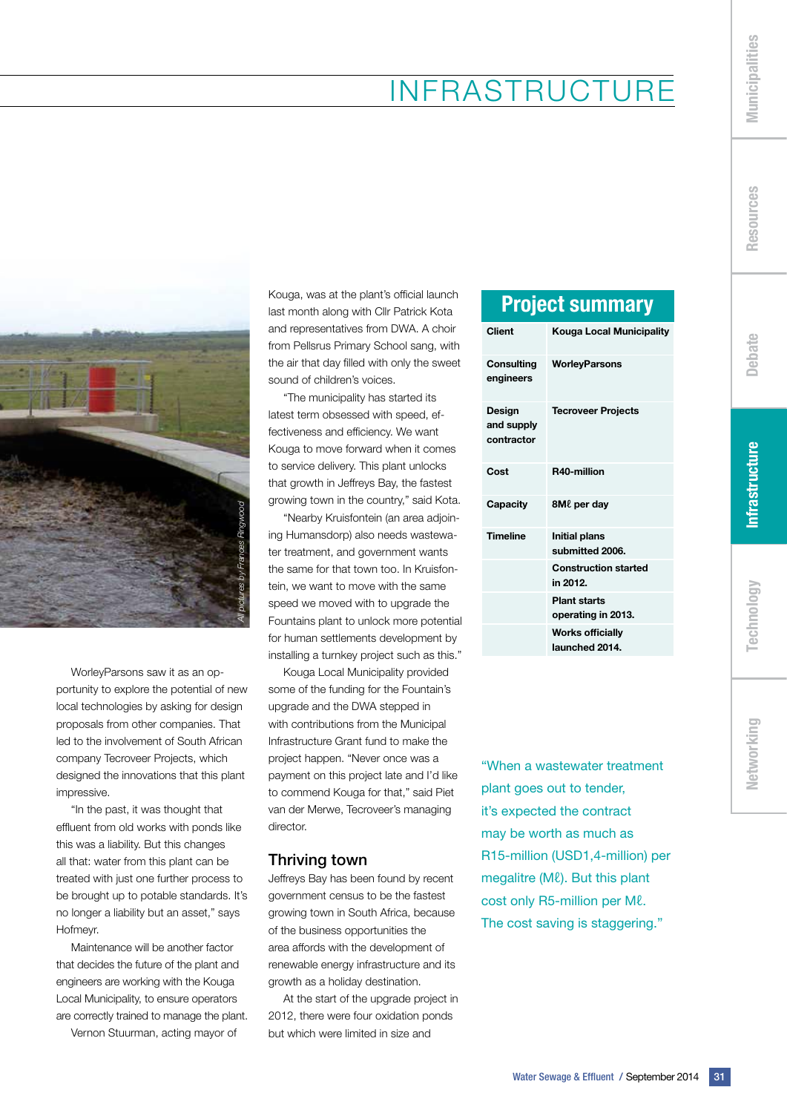### Infrastructure



WorleyParsons saw it as an opportunity to explore the potential of new local technologies by asking for design proposals from other companies. That led to the involvement of South African company Tecroveer Projects, which designed the innovations that this plant impressive.

"In the past, it was thought that effluent from old works with ponds like this was a liability. But this changes all that: water from this plant can be treated with just one further process to be brought up to potable standards. It's no longer a liability but an asset," says Hofmeyr.

Maintenance will be another factor that decides the future of the plant and engineers are working with the Kouga Local Municipality, to ensure operators are correctly trained to manage the plant. Vernon Stuurman, acting mayor of

Kouga, was at the plant's official launch last month along with Cllr Patrick Kota and representatives from DWA. A choir from Pellsrus Primary School sang, with the air that day filled with only the sweet sound of children's voices.

"The municipality has started its latest term obsessed with speed, effectiveness and efficiency. We want Kouga to move forward when it comes to service delivery. This plant unlocks that growth in Jeffreys Bay, the fastest growing town in the country," said Kota.

"Nearby Kruisfontein (an area adjoining Humansdorp) also needs wastewater treatment, and government wants the same for that town too. In Kruisfontein, we want to move with the same speed we moved with to upgrade the Fountains plant to unlock more potential for human settlements development by installing a turnkey project such as this."

Kouga Local Municipality provided some of the funding for the Fountain's upgrade and the DWA stepped in with contributions from the Municipal Infrastructure Grant fund to make the project happen. "Never once was a payment on this project late and I'd like to commend Kouga for that," said Piet van der Merwe, Tecroveer's managing director.

#### Thriving town

Jeffreys Bay has been found by recent government census to be the fastest growing town in South Africa, because of the business opportunities the area affords with the development of renewable energy infrastructure and its growth as a holiday destination.

At the start of the upgrade project in 2012, there were four oxidation ponds but which were limited in size and

#### Project summary

| <b>Client</b>                      | Kouga Local Municipality                  |
|------------------------------------|-------------------------------------------|
| Consulting<br>engineers            | <b>WorleyParsons</b>                      |
| Design<br>and supply<br>contractor | <b>Tecroveer Projects</b>                 |
| Cost                               | R40-million                               |
| Capacity                           | <b>8ML</b> per day                        |
| <b>Timeline</b>                    | <b>Initial plans</b><br>submitted 2006.   |
|                                    | <b>Construction started</b><br>in 2012.   |
|                                    | <b>Plant starts</b><br>operating in 2013. |
|                                    | <b>Works officially</b><br>launched 2014. |

"When a wastewater treatment plant goes out to tender, it's expected the contract may be worth as much as R15-million (USD1,4-million) per megalitre (Mℓ). But this plant cost only R5-million per Ml. The cost saving is staggering."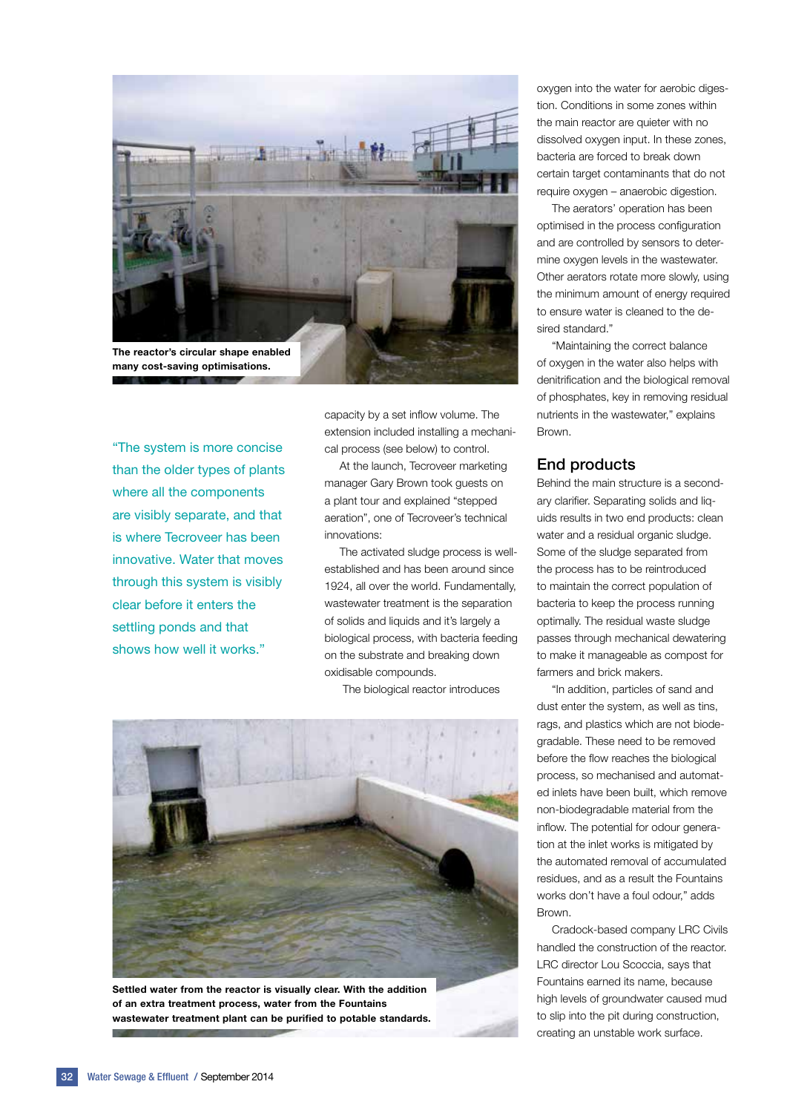

"The system is more concise than the older types of plants where all the components are visibly separate, and that is where Tecroveer has been innovative. Water that moves through this system is visibly clear before it enters the settling ponds and that shows how well it works."

capacity by a set inflow volume. The extension included installing a mechanical process (see below) to control.

At the launch, Tecroveer marketing manager Gary Brown took guests on a plant tour and explained "stepped aeration", one of Tecroveer's technical innovations:

The activated sludge process is wellestablished and has been around since 1924, all over the world. Fundamentally, wastewater treatment is the separation of solids and liquids and it's largely a biological process, with bacteria feeding on the substrate and breaking down oxidisable compounds.

The biological reactor introduces



Settled water from the reactor is visually clear. With the addition of an extra treatment process, water from the Fountains wastewater treatment plant can be purified to potable standards.

oxygen into the water for aerobic digestion. Conditions in some zones within the main reactor are quieter with no dissolved oxygen input. In these zones, bacteria are forced to break down certain target contaminants that do not require oxygen – anaerobic digestion.

The aerators' operation has been optimised in the process configuration and are controlled by sensors to determine oxygen levels in the wastewater. Other aerators rotate more slowly, using the minimum amount of energy required to ensure water is cleaned to the desired standard."

"Maintaining the correct balance of oxygen in the water also helps with denitrification and the biological removal of phosphates, key in removing residual nutrients in the wastewater," explains Brown.

#### End products

Behind the main structure is a secondary clarifier. Separating solids and liquids results in two end products: clean water and a residual organic sludge. Some of the sludge separated from the process has to be reintroduced to maintain the correct population of bacteria to keep the process running optimally. The residual waste sludge passes through mechanical dewatering to make it manageable as compost for farmers and brick makers.

"In addition, particles of sand and dust enter the system, as well as tins, rags, and plastics which are not biodegradable. These need to be removed before the flow reaches the biological process, so mechanised and automated inlets have been built, which remove non-biodegradable material from the inflow. The potential for odour generation at the inlet works is mitigated by the automated removal of accumulated residues, and as a result the Fountains works don't have a foul odour," adds **Brown** 

Cradock-based company LRC Civils handled the construction of the reactor. LRC director Lou Scoccia, says that Fountains earned its name, because high levels of groundwater caused mud to slip into the pit during construction, creating an unstable work surface.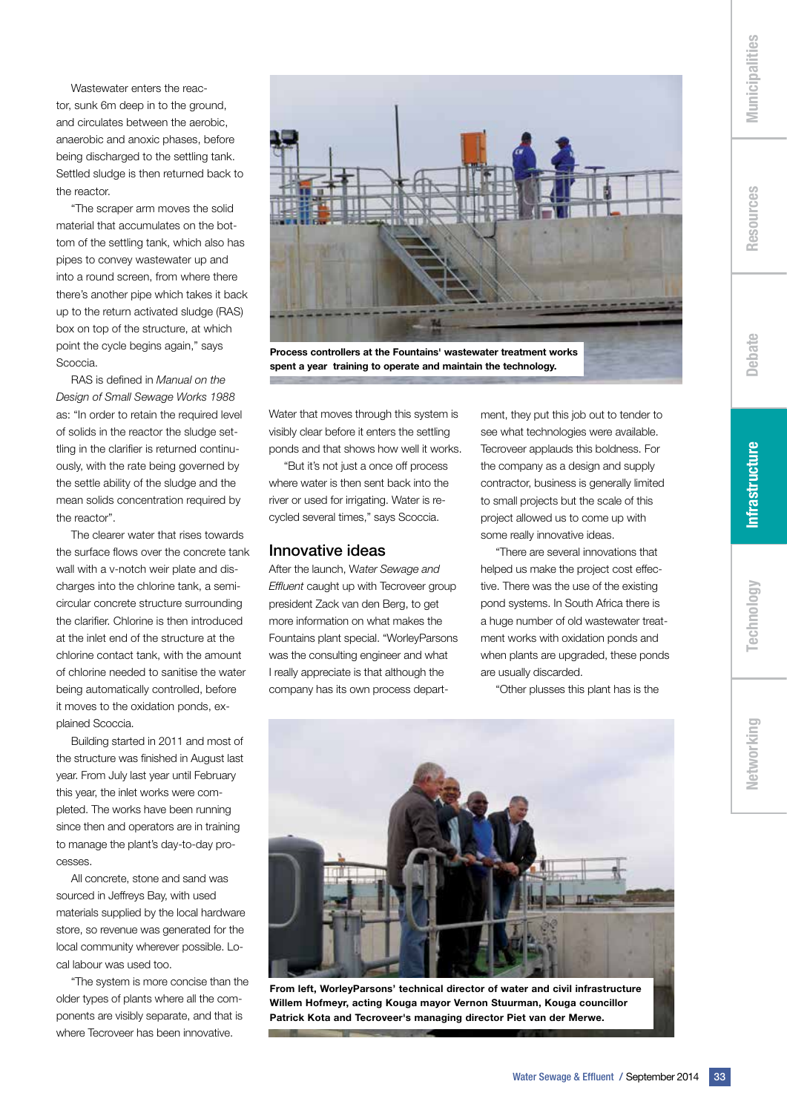Networking

Wastewater enters the reactor, sunk 6m deep in to the ground, and circulates between the aerobic, anaerobic and anoxic phases, before being discharged to the settling tank. Settled sludge is then returned back to the reactor.

"The scraper arm moves the solid material that accumulates on the bottom of the settling tank, which also has pipes to convey wastewater up and into a round screen, from where there there's another pipe which takes it back up to the return activated sludge (RAS) box on top of the structure, at which point the cycle begins again," says Scoccia.

RAS is defined in *Manual on the Design of Small Sewage Works 1988* as: "In order to retain the required level of solids in the reactor the sludge settling in the clarifier is returned continuously, with the rate being governed by the settle ability of the sludge and the mean solids concentration required by the reactor".

The clearer water that rises towards the surface flows over the concrete tank wall with a v-notch weir plate and discharges into the chlorine tank, a semicircular concrete structure surrounding the clarifier. Chlorine is then introduced at the inlet end of the structure at the chlorine contact tank, with the amount of chlorine needed to sanitise the water being automatically controlled, before it moves to the oxidation ponds, explained Scoccia.

Building started in 2011 and most of the structure was finished in August last year. From July last year until February this year, the inlet works were completed. The works have been running since then and operators are in training to manage the plant's day-to-day processes.

All concrete, stone and sand was sourced in Jeffreys Bay, with used materials supplied by the local hardware store, so revenue was generated for the local community wherever possible. Local labour was used too.

"The system is more concise than the older types of plants where all the components are visibly separate, and that is where Tecroveer has been innovative.



Process controllers at the Fountains' wastewater treatment works spent a year training to operate and maintain the technology.

Water that moves through this system is visibly clear before it enters the settling ponds and that shows how well it works.

"But it's not just a once off process where water is then sent back into the river or used for irrigating. Water is recycled several times," says Scoccia.

#### Innovative ideas

After the launch, W*ater Sewage and Effluent* caught up with Tecroveer group president Zack van den Berg, to get more information on what makes the Fountains plant special. "WorleyParsons was the consulting engineer and what I really appreciate is that although the company has its own process department, they put this job out to tender to see what technologies were available. Tecroveer applauds this boldness. For the company as a design and supply contractor, business is generally limited to small projects but the scale of this project allowed us to come up with some really innovative ideas.

"There are several innovations that helped us make the project cost effective. There was the use of the existing pond systems. In South Africa there is a huge number of old wastewater treatment works with oxidation ponds and when plants are upgraded, these ponds are usually discarded.

"Other plusses this plant has is the



From left, WorleyParsons' technical director of water and civil infrastructure Willem Hofmeyr, acting Kouga mayor Vernon Stuurman, Kouga councillor Patrick Kota and Tecroveer's managing director Piet van der Merwe.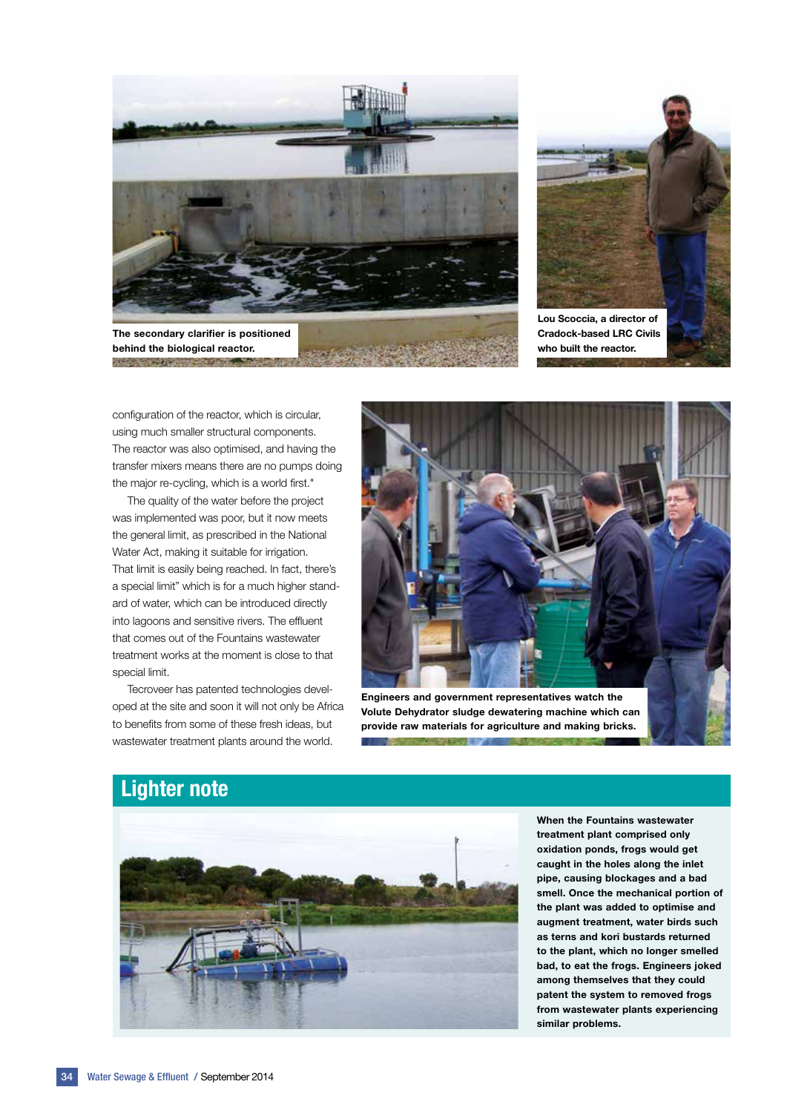

The secondary clarifier is positioned behind the biological reactor.

**CONTRACT OF A PARTICIPATION** 



Cradock-based LRC Civils who built the reactor.

configuration of the reactor, which is circular, using much smaller structural components. The reactor was also optimised, and having the transfer mixers means there are no pumps doing the major re-cycling, which is a world first."

The quality of the water before the project was implemented was poor, but it now meets the general limit, as prescribed in the National Water Act, making it suitable for irrigation. That limit is easily being reached. In fact, there's a special limit" which is for a much higher standard of water, which can be introduced directly into lagoons and sensitive rivers. The effluent that comes out of the Fountains wastewater treatment works at the moment is close to that special limit.

Tecroveer has patented technologies developed at the site and soon it will not only be Africa to benefits from some of these fresh ideas, but wastewater treatment plants around the world.



Engineers and government representatives watch the Volute Dehydrator sludge dewatering machine which can provide raw materials for agriculture and making bricks.

ar bir



When the Fountains wastewater treatment plant comprised only oxidation ponds, frogs would get caught in the holes along the inlet pipe, causing blockages and a bad smell. Once the mechanical portion of the plant was added to optimise and augment treatment, water birds such as terns and kori bustards returned to the plant, which no longer smelled bad, to eat the frogs. Engineers joked among themselves that they could patent the system to removed frogs from wastewater plants experiencing similar problems.

#### Lighter note